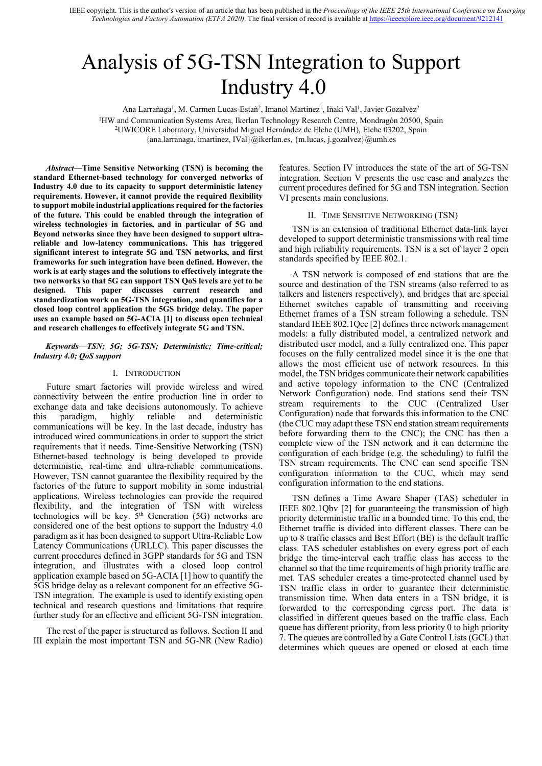# Analysis of 5G-TSN Integration to Support Industry 4.0

Ana Larrañaga<sup>1</sup>, M. Carmen Lucas-Estañ<sup>2</sup>, Imanol Martinez<sup>1</sup>, Iñaki Val<sup>1</sup>, Javier Gozalvez<sup>2</sup>

<sup>1</sup>HW and Communication Systems Area, Ikerlan Technology Research Centre, Mondragón 20500, Spain 2UWICORE Laboratory, Universidad Miguel Hernández de Elche (UMH), Elche 03202, Spain

{ana.larranaga, imartinez, IVal}@ikerlan.es, {m.lucas, j.gozalvez}@umh.es

*Abstract***—Time Sensitive Networking (TSN) is becoming the standard Ethernet-based technology for converged networks of Industry 4.0 due to its capacity to support deterministic latency requirements. However, it cannot provide the required flexibility to support mobile industrial applications required for the factories of the future. This could be enabled through the integration of wireless technologies in factories, and in particular of 5G and Beyond networks since they have been designed to support ultrareliable and low-latency communications. This has triggered significant interest to integrate 5G and TSN networks, and first frameworks for such integration have been defined. However, the work is at early stages and the solutions to effectively integrate the two networks so that 5G can support TSN QoS levels are yet to be designed. This paper discusses current research and standardization work on 5G-TSN integration, and quantifies for a closed loop control application the 5GS bridge delay. The paper uses an example based on 5G-ACIA [1] to discuss open technical and research challenges to effectively integrate 5G and TSN.**

## *Keywords—TSN; 5G; 5G-TSN; Deterministic; Time-critical; Industry 4.0; QoS support*

#### I. INTRODUCTION

Future smart factories will provide wireless and wired connectivity between the entire production line in order to exchange data and take decisions autonomously. To achieve this paradigm, highly reliable and deterministic communications will be key. In the last decade, industry has introduced wired communications in order to support the strict requirements that it needs. Time-Sensitive Networking (TSN) Ethernet-based technology is being developed to provide deterministic, real-time and ultra-reliable communications. However, TSN cannot guarantee the flexibility required by the factories of the future to support mobility in some industrial applications. Wireless technologies can provide the required flexibility, and the integration of TSN with wireless technologies will be key.  $5<sup>th</sup>$  Generation (5G) networks are considered one of the best options to support the Industry 4.0 paradigm as it has been designed to support Ultra-Reliable Low Latency Communications (URLLC). This paper discusses the current procedures defined in 3GPP standards for 5G and TSN integration, and illustrates with a closed loop control application example based on 5G-ACIA [1] how to quantify the 5GS bridge delay as a relevant component for an effective 5G-TSN integration. The example is used to identify existing open technical and research questions and limitations that require further study for an effective and efficient 5G-TSN integration.

The rest of the paper is structured as follows. Section II and III explain the most important TSN and 5G-NR (New Radio)

features. Section IV introduces the state of the art of 5G-TSN integration. Section V presents the use case and analyzes the current procedures defined for 5G and TSN integration. Section VI presents main conclusions.

#### II. TIME SENSITIVE NETWORKING (TSN)

TSN is an extension of traditional Ethernet data-link layer developed to support deterministic transmissions with real time and high reliability requirements. TSN is a set of layer 2 open standards specified by IEEE 802.1.

A TSN network is composed of end stations that are the source and destination of the TSN streams (also referred to as talkers and listeners respectively), and bridges that are special Ethernet switches capable of transmitting and receiving Ethernet frames of a TSN stream following a schedule. TSN standard IEEE 802.1Qcc [2] defines three network management models: a fully distributed model, a centralized network and distributed user model, and a fully centralized one. This paper focuses on the fully centralized model since it is the one that allows the most efficient use of network resources. In this model, the TSN bridges communicate their network capabilities and active topology information to the CNC (Centralized Network Configuration) node. End stations send their TSN stream requirements to the CUC (Centralized User Configuration) node that forwards this information to the CNC (the CUC may adapt these TSN end station stream requirements before forwarding them to the CNC); the CNC has then a complete view of the TSN network and it can determine the configuration of each bridge (e.g. the scheduling) to fulfil the TSN stream requirements. The CNC can send specific TSN configuration information to the CUC, which may send configuration information to the end stations.

TSN defines a Time Aware Shaper (TAS) scheduler in IEEE 802.1Qbv [2] for guaranteeing the transmission of high priority deterministic traffic in a bounded time. To this end, the Ethernet traffic is divided into different classes. There can be up to 8 traffic classes and Best Effort (BE) is the default traffic class. TAS scheduler establishes on every egress port of each bridge the time-interval each traffic class has access to the channel so that the time requirements of high priority traffic are met. TAS scheduler creates a time-protected channel used by TSN traffic class in order to guarantee their deterministic transmission time. When data enters in a TSN bridge, it is forwarded to the corresponding egress port. The data is classified in different queues based on the traffic class. Each queue has different priority, from less priority 0 to high priority 7. The queues are controlled by a Gate Control Lists (GCL) that determines which queues are opened or closed at each time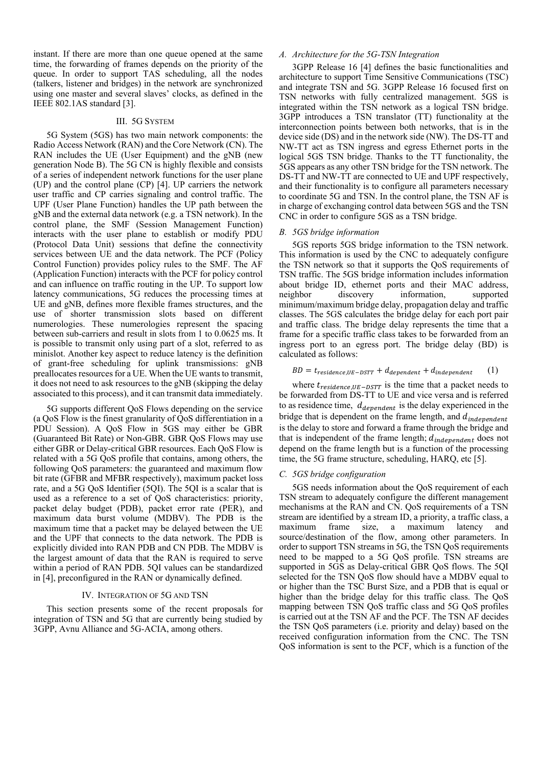instant. If there are more than one queue opened at the same time, the forwarding of frames depends on the priority of the queue. In order to support TAS scheduling, all the nodes (talkers, listener and bridges) in the network are synchronized using one master and several slaves' clocks, as defined in the IEEE 802.1AS standard [3].

# III. 5G SYSTEM

5G System (5GS) has two main network components: the Radio Access Network (RAN) and the Core Network (CN). The RAN includes the UE (User Equipment) and the gNB (new generation Node B). The 5G CN is highly flexible and consists of a series of independent network functions for the user plane (UP) and the control plane (CP) [4]. UP carriers the network user traffic and CP carries signaling and control traffic. The UPF (User Plane Function) handles the UP path between the gNB and the external data network (e.g. a TSN network). In the control plane, the SMF (Session Management Function) interacts with the user plane to establish or modify PDU (Protocol Data Unit) sessions that define the connectivity services between UE and the data network. The PCF (Policy Control Function) provides policy rules to the SMF. The AF (Application Function) interacts with the PCF for policy control and can influence on traffic routing in the UP. To support low latency communications, 5G reduces the processing times at UE and gNB, defines more flexible frames structures, and the use of shorter transmission slots based on different numerologies. These numerologies represent the spacing between sub-carriers and result in slots from 1 to 0.0625 ms. It is possible to transmit only using part of a slot, referred to as minislot. Another key aspect to reduce latency is the definition of grant-free scheduling for uplink transmissions: gNB preallocates resources for a UE. When the UE wants to transmit, it does not need to ask resources to the gNB (skipping the delay associated to this process), and it can transmit data immediately.

5G supports different QoS Flows depending on the service (a QoS Flow is the finest granularity of QoS differentiation in a PDU Session). A QoS Flow in 5GS may either be GBR (Guaranteed Bit Rate) or Non-GBR. GBR QoS Flows may use either GBR or Delay-critical GBR resources. Each QoS Flow is related with a 5G QoS profile that contains, among others, the following QoS parameters: the guaranteed and maximum flow bit rate (GFBR and MFBR respectively), maximum packet loss rate, and a 5G QoS Identifier (5QI). The 5QI is a scalar that is used as a reference to a set of QoS characteristics: priority, packet delay budget (PDB), packet error rate (PER), and maximum data burst volume (MDBV). The PDB is the maximum time that a packet may be delayed between the UE and the UPF that connects to the data network. The PDB is explicitly divided into RAN PDB and CN PDB. The MDBV is the largest amount of data that the RAN is required to serve within a period of RAN PDB. 5QI values can be standardized in [4], preconfigured in the RAN or dynamically defined.

#### IV. INTEGRATION OF 5G AND TSN

This section presents some of the recent proposals for integration of TSN and 5G that are currently being studied by 3GPP, Avnu Alliance and 5G-ACIA, among others.

# *A. Architecture for the 5G-TSN Integration*

3GPP Release 16 [4] defines the basic functionalities and architecture to support Time Sensitive Communications (TSC) and integrate TSN and 5G. 3GPP Release 16 focused first on TSN networks with fully centralized management. 5GS is integrated within the TSN network as a logical TSN bridge. 3GPP introduces a TSN translator (TT) functionality at the interconnection points between both networks, that is in the device side (DS) and in the network side (NW). The DS-TT and NW-TT act as TSN ingress and egress Ethernet ports in the logical 5GS TSN bridge. Thanks to the TT functionality, the 5GS appears as any other TSN bridge for the TSN network. The DS-TT and NW-TT are connected to UE and UPF respectively, and their functionality is to configure all parameters necessary to coordinate 5G and TSN. In the control plane, the TSN AF is in charge of exchanging control data between 5GS and the TSN CNC in order to configure 5GS as a TSN bridge.

# *B. 5GS bridge information*

5GS reports 5GS bridge information to the TSN network. This information is used by the CNC to adequately configure the TSN network so that it supports the QoS requirements of TSN traffic. The 5GS bridge information includes information about bridge ID, ethernet ports and their MAC address, neighbor discovery information, supported minimum/maximum bridge delay, propagation delay and traffic classes. The 5GS calculates the bridge delay for each port pair and traffic class. The bridge delay represents the time that a frame for a specific traffic class takes to be forwarded from an ingress port to an egress port. The bridge delay (BD) is calculated as follows:

# $BD = t_{residence,UE-DSTT} + d_{dependent} + d_{independent}$  (1)

where  $t_{residence,UE-DSTT}$  is the time that a packet needs to be forwarded from DS-TT to UE and vice versa and is referred to as residence time,  $d_{dependent}$  is the delay experienced in the bridge that is dependent on the frame length, and  $d_{independent}$ is the delay to store and forward a frame through the bridge and that is independent of the frame length;  $d_{independent}$  does not depend on the frame length but is a function of the processing time, the 5G frame structure, scheduling, HARQ, etc [5].

## *C. 5GS bridge configuration*

5GS needs information about the QoS requirement of each TSN stream to adequately configure the different management mechanisms at the RAN and CN. QoS requirements of a TSN stream are identified by a stream ID, a priority, a traffic class, a maximum frame size, a maximum latency and source/destination of the flow, among other parameters. In order to support TSN streams in 5G, the TSN QoS requirements need to be mapped to a 5G QoS profile. TSN streams are supported in 5GS as Delay-critical GBR OoS flows. The 5OI selected for the TSN QoS flow should have a MDBV equal to or higher than the TSC Burst Size, and a PDB that is equal or higher than the bridge delay for this traffic class. The QoS mapping between TSN QoS traffic class and 5G QoS profiles is carried out at the TSN AF and the PCF. The TSN AF decides the TSN QoS parameters (i.e. priority and delay) based on the received configuration information from the CNC. The TSN QoS information is sent to the PCF, which is a function of the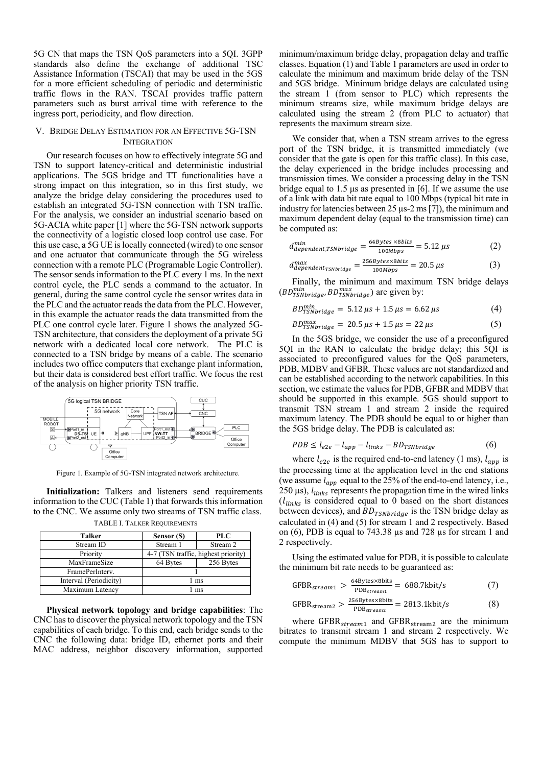5G CN that maps the TSN QoS parameters into a 5QI. 3GPP standards also define the exchange of additional TSC Assistance Information (TSCAI) that may be used in the 5GS for a more efficient scheduling of periodic and deterministic traffic flows in the RAN. TSCAI provides traffic pattern parameters such as burst arrival time with reference to the ingress port, periodicity, and flow direction.

#### V. BRIDGE DELAY ESTIMATION FOR AN EFFECTIVE 5G-TSN INTEGRATION

Our research focuses on how to effectively integrate 5G and TSN to support latency-critical and deterministic industrial applications. The 5GS bridge and TT functionalities have a strong impact on this integration, so in this first study, we analyze the bridge delay considering the procedures used to establish an integrated 5G-TSN connection with TSN traffic. For the analysis, we consider an industrial scenario based on 5G-ACIA white paper [1] where the 5G-TSN network supports the connectivity of a logistic closed loop control use case. For this use case, a 5G UE is locally connected (wired) to one sensor and one actuator that communicate through the 5G wireless connection with a remote PLC (Programable Logic Controller). The sensor sends information to the PLC every 1 ms. In the next control cycle, the PLC sends a command to the actuator. In general, during the same control cycle the sensor writes data in the PLC and the actuator reads the data from the PLC. However, in this example the actuator reads the data transmitted from the PLC one control cycle later. [Figure 1](#page-2-0) shows the analyzed 5G-TSN architecture, that considers the deployment of a private 5G network with a dedicated local core network. The PLC is connected to a TSN bridge by means of a cable. The scenario includes two office computers that exchange plant information, but their data is considered best effort traffic. We focus the rest of the analysis on higher priority TSN traffic.



Figure 1. Example of 5G-TSN integrated network architecture.

<span id="page-2-0"></span>**Initialization:** Talkers and listeners send requirements information to the CUC (Table 1) that forwards this information to the CNC. We assume only two streams of TSN traffic class.

| Talker                 | Sensor (S)                          | <b>PLC</b> |  |
|------------------------|-------------------------------------|------------|--|
| Stream ID              | Stream 1                            | Stream 2   |  |
| Priority               | 4-7 (TSN traffic, highest priority) |            |  |
| MaxFrameSize           | 64 Bytes                            | 256 Bytes  |  |
| FramePerInterv.        |                                     |            |  |
| Interval (Periodicity) | 1 ms                                |            |  |
| Maximum Latency        | ms                                  |            |  |

TABLE I. TALKER REQUIREMENTS

**Physical network topology and bridge capabilities**: The CNC has to discover the physical network topology and the TSN capabilities of each bridge. To this end, each bridge sends to the CNC the following data: bridge ID, ethernet ports and their MAC address, neighbor discovery information, supported

minimum/maximum bridge delay, propagation delay and traffic classes. Equation (1) and Table 1 parameters are used in order to calculate the minimum and maximum bride delay of the TSN and 5GS bridge. Minimum bridge delays are calculated using the stream 1 (from sensor to PLC) which represents the minimum streams size, while maximum bridge delays are calculated using the stream 2 (from PLC to actuator) that represents the maximum stream size.

We consider that, when a TSN stream arrives to the egress port of the TSN bridge, it is transmitted immediately (we consider that the gate is open for this traffic class). In this case, the delay experienced in the bridge includes processing and transmission times. We consider a processing delay in the TSN bridge equal to 1.5 μs as presented in [6]. If we assume the use of a link with data bit rate equal to 100 Mbps (typical bit rate in industry for latencies between 25 µs-2 ms [7]), the minimum and maximum dependent delay (equal to the transmission time) can be computed as:

$$
d_{dependent, TSNbridge}^{min} = \frac{64\text{Bytes} \times 8 \text{bits}}{100 \text{Mbps}} = 5.12 \text{ }\mu\text{s} \tag{2}
$$

$$
d_{dependent_{TSNbridge}}^{max} = \frac{256Bytes \times 8bits}{100Mbps} = 20.5 \,\mu s \tag{3}
$$

Finally, the minimum and maximum TSN bridge delays  $(BD^{min}_{TSNbridge}, BD^{max}_{TSNbridge})$  are given by:

$$
BD_{TSNbridge}^{min} = 5.12 \,\mu s + 1.5 \,\mu s = 6.62 \,\mu s \tag{4}
$$

$$
BD_{TSNbridge}^{max} = 20.5 \,\mu s + 1.5 \,\mu s = 22 \,\mu s \tag{5}
$$

In the 5GS bridge, we consider the use of a preconfigured 5QI in the RAN to calculate the bridge delay; this 5QI is associated to preconfigured values for the QoS parameters, PDB, MDBV and GFBR. These values are not standardized and can be established according to the network capabilities. In this section, we estimate the values for PDB, GFBR and MDBV that should be supported in this example. 5GS should support to transmit TSN stream 1 and stream 2 inside the required maximum latency. The PDB should be equal to or higher than the 5GS bridge delay. The PDB is calculated as:

$$
PDB \le l_{e2e} - l_{app} - l_{links} - BD_{TSNbridge} \tag{6}
$$

where  $l_{e2e}$  is the required end-to-end latency (1 ms),  $l_{app}$  is the processing time at the application level in the end stations (we assume  $l_{app}$  equal to the 25% of the end-to-end latency, i.e., 250  $\mu$ s),  $l_{links}$  represents the propagation time in the wired links  $(l_{links}$  is considered equal to 0 based on the short distances between devices), and  $BD_{TSNbridge}$  is the TSN bridge delay as calculated in (4) and (5) for stream 1 and 2 respectively. Based on (6), PDB is equal to 743.38 µs and 728 µs for stream 1 and 2 respectively.

Using the estimated value for PDB, it is possible to calculate the minimum bit rate needs to be guaranteed as:

$$
GFBR_{stream1} > \frac{64\text{Bytes} \times \text{8bits}}{\text{PDB}_{stream1}} = 688.7\text{kbit/s}
$$
 (7)

$$
GFBRstream2 > \frac{256Bytes \times 8bits}{PDBstream2} = 2813.1kbit/s
$$
 (8)

where  $GFBR<sub>stream1</sub>$  and  $GFBR<sub>stream2</sub>$  are the minimum bitrates to transmit stream 1 and stream 2 respectively. We compute the minimum MDBV that 5GS has to support to